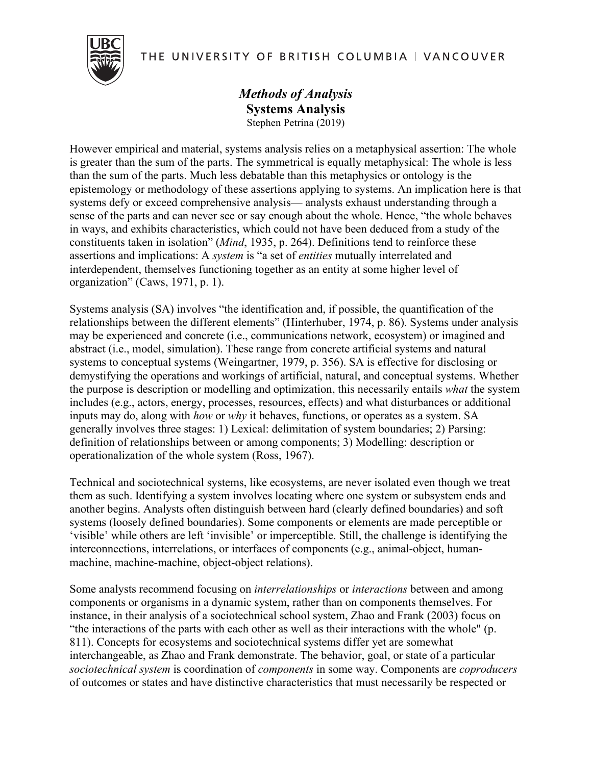THE UNIVERSITY OF BRITISH COLUMBIA | VANCOUVER



## *Methods of Analysis* **Systems Analysis** Stephen Petrina (2019)

However empirical and material, systems analysis relies on a metaphysical assertion: The whole is greater than the sum of the parts. The symmetrical is equally metaphysical: The whole is less than the sum of the parts. Much less debatable than this metaphysics or ontology is the epistemology or methodology of these assertions applying to systems. An implication here is that systems defy or exceed comprehensive analysis— analysts exhaust understanding through a sense of the parts and can never see or say enough about the whole. Hence, "the whole behaves in ways, and exhibits characteristics, which could not have been deduced from a study of the constituents taken in isolation" (*Mind*, 1935, p. 264). Definitions tend to reinforce these assertions and implications: A *system* is "a set of *entities* mutually interrelated and interdependent, themselves functioning together as an entity at some higher level of organization" (Caws, 1971, p. 1).

Systems analysis (SA) involves "the identification and, if possible, the quantification of the relationships between the different elements" (Hinterhuber, 1974, p. 86). Systems under analysis may be experienced and concrete (i.e., communications network, ecosystem) or imagined and abstract (i.e., model, simulation). These range from concrete artificial systems and natural systems to conceptual systems (Weingartner, 1979, p. 356). SA is effective for disclosing or demystifying the operations and workings of artificial, natural, and conceptual systems. Whether the purpose is description or modelling and optimization, this necessarily entails *what* the system includes (e.g., actors, energy, processes, resources, effects) and what disturbances or additional inputs may do, along with *how* or *why* it behaves, functions, or operates as a system. SA generally involves three stages: 1) Lexical: delimitation of system boundaries; 2) Parsing: definition of relationships between or among components; 3) Modelling: description or operationalization of the whole system (Ross, 1967).

Technical and sociotechnical systems, like ecosystems, are never isolated even though we treat them as such. Identifying a system involves locating where one system or subsystem ends and another begins. Analysts often distinguish between hard (clearly defined boundaries) and soft systems (loosely defined boundaries). Some components or elements are made perceptible or 'visible' while others are left 'invisible' or imperceptible. Still, the challenge is identifying the interconnections, interrelations, or interfaces of components (e.g., animal-object, humanmachine, machine-machine, object-object relations).

Some analysts recommend focusing on *interrelationships* or *interactions* between and among components or organisms in a dynamic system, rather than on components themselves. For instance, in their analysis of a sociotechnical school system, Zhao and Frank (2003) focus on "the interactions of the parts with each other as well as their interactions with the whole" (p. 811). Concepts for ecosystems and sociotechnical systems differ yet are somewhat interchangeable, as Zhao and Frank demonstrate. The behavior, goal, or state of a particular *sociotechnical system* is coordination of *components* in some way. Components are *coproducers* of outcomes or states and have distinctive characteristics that must necessarily be respected or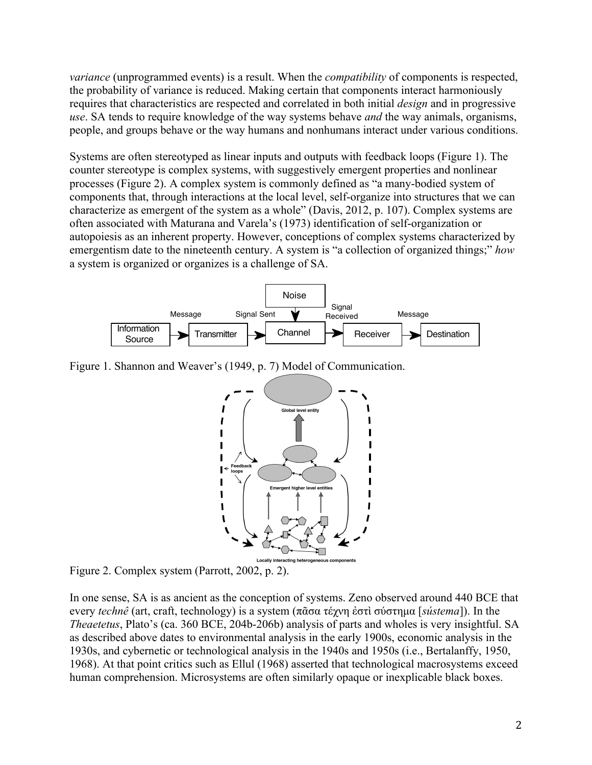*variance* (unprogrammed events) is a result. When the *compatibility* of components is respected, the probability of variance is reduced. Making certain that components interact harmoniously requires that characteristics are respected and correlated in both initial *design* and in progressive *use*. SA tends to require knowledge of the way systems behave *and* the way animals, organisms, people, and groups behave or the way humans and nonhumans interact under various conditions.

Systems are often stereotyped as linear inputs and outputs with feedback loops (Figure 1). The counter stereotype is complex systems, with suggestively emergent properties and nonlinear processes (Figure 2). A complex system is commonly defined as "a many-bodied system of components that, through interactions at the local level, self-organize into structures that we can characterize as emergent of the system as a whole" (Davis, 2012, p. 107). Complex systems are often associated with Maturana and Varela's (1973) identification of self-organization or autopoiesis as an inherent property. However, conceptions of complex systems characterized by emergentism date to the nineteenth century. A system is "a collection of organized things;" *how* a system is organized or organizes is a challenge of SA.



Figure 1. Shannon and Weaver's (1949, p. 7) Model of Communication.



Figure 2. Complex system (Parrott, 2002, p. 2).

In one sense, SA is as ancient as the conception of systems. Zeno observed around 440 BCE that every *technê* (art, craft, technology) is a system (πᾶσα τέχνη ἐστὶ σύστηµα [*sústema*]). In the *Theaetetus*, Plato's (ca. 360 BCE, 204b-206b) analysis of parts and wholes is very insightful. SA as described above dates to environmental analysis in the early 1900s, economic analysis in the 1930s, and cybernetic or technological analysis in the 1940s and 1950s (i.e., Bertalanffy, 1950, 1968). At that point critics such as Ellul (1968) asserted that technological macrosystems exceed human comprehension. Microsystems are often similarly opaque or inexplicable black boxes.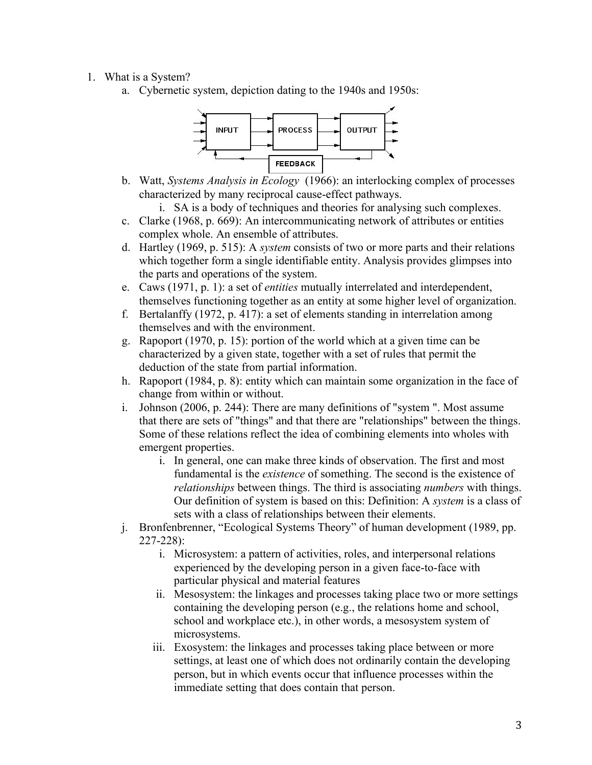## 1. What is a System?

a. Cybernetic system, depiction dating to the 1940s and 1950s:



b. Watt, *Systems Analysis in Ecology* (1966): an interlocking complex of processes characterized by many reciprocal cause-effect pathways.

i. SA is a body of techniques and theories for analysing such complexes.

- c. Clarke (1968, p. 669): An intercommunicating network of attributes or entities complex whole. An ensemble of attributes.
- d. Hartley (1969, p. 515): A *system* consists of two or more parts and their relations which together form a single identifiable entity. Analysis provides glimpses into the parts and operations of the system.
- e. Caws (1971, p. 1): a set of *entities* mutually interrelated and interdependent, themselves functioning together as an entity at some higher level of organization.
- f. Bertalanffy (1972, p. 417): a set of elements standing in interrelation among themselves and with the environment.
- g. Rapoport (1970, p. 15): portion of the world which at a given time can be characterized by a given state, together with a set of rules that permit the deduction of the state from partial information.
- h. Rapoport (1984, p. 8): entity which can maintain some organization in the face of change from within or without.
- i. Johnson (2006, p. 244): There are many definitions of "system ". Most assume that there are sets of "things" and that there are "relationships" between the things. Some of these relations reflect the idea of combining elements into wholes with emergent properties.
	- i. In general, one can make three kinds of observation. The first and most fundamental is the *existence* of something. The second is the existence of *relationships* between things. The third is associating *numbers* with things. Our definition of system is based on this: Definition: A *system* is a class of sets with a class of relationships between their elements.
- j. Bronfenbrenner, "Ecological Systems Theory" of human development (1989, pp. 227-228):
	- i. Microsystem: a pattern of activities, roles, and interpersonal relations experienced by the developing person in a given face-to-face with particular physical and material features
	- ii. Mesosystem: the linkages and processes taking place two or more settings containing the developing person (e.g., the relations home and school, school and workplace etc.), in other words, a mesosystem system of microsystems.
	- iii. Exosystem: the linkages and processes taking place between or more settings, at least one of which does not ordinarily contain the developing person, but in which events occur that influence processes within the immediate setting that does contain that person.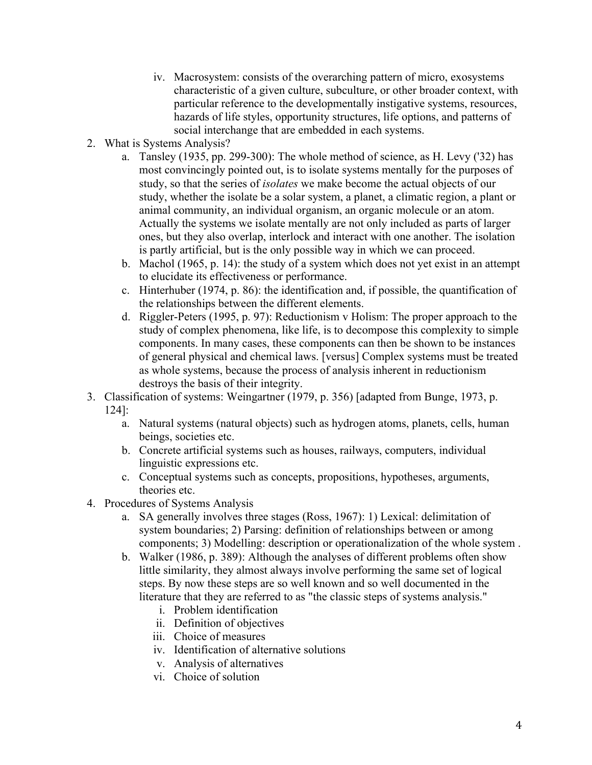- iv. Macrosystem: consists of the overarching pattern of micro, exosystems characteristic of a given culture, subculture, or other broader context, with particular reference to the developmentally instigative systems, resources, hazards of life styles, opportunity structures, life options, and patterns of social interchange that are embedded in each systems.
- 2. What is Systems Analysis?
	- a. Tansley (1935, pp. 299-300): The whole method of science, as H. Levy ('32) has most convincingly pointed out, is to isolate systems mentally for the purposes of study, so that the series of *isolates* we make become the actual objects of our study, whether the isolate be a solar system, a planet, a climatic region, a plant or animal community, an individual organism, an organic molecule or an atom. Actually the systems we isolate mentally are not only included as parts of larger ones, but they also overlap, interlock and interact with one another. The isolation is partly artificial, but is the only possible way in which we can proceed.
	- b. Machol (1965, p. 14): the study of a system which does not yet exist in an attempt to elucidate its effectiveness or performance.
	- c. Hinterhuber (1974, p. 86): the identification and, if possible, the quantification of the relationships between the different elements.
	- d. Riggler-Peters (1995, p. 97): Reductionism v Holism: The proper approach to the study of complex phenomena, like life, is to decompose this complexity to simple components. In many cases, these components can then be shown to be instances of general physical and chemical laws. [versus] Complex systems must be treated as whole systems, because the process of analysis inherent in reductionism destroys the basis of their integrity.
- 3. Classification of systems: Weingartner (1979, p. 356) [adapted from Bunge, 1973, p.
	- 124]:
		- a. Natural systems (natural objects) such as hydrogen atoms, planets, cells, human beings, societies etc.
		- b. Concrete artificial systems such as houses, railways, computers, individual linguistic expressions etc.
		- c. Conceptual systems such as concepts, propositions, hypotheses, arguments, theories etc.
- 4. Procedures of Systems Analysis
	- a. SA generally involves three stages (Ross, 1967): 1) Lexical: delimitation of system boundaries; 2) Parsing: definition of relationships between or among components; 3) Modelling: description or operationalization of the whole system .
	- b. Walker (1986, p. 389): Although the analyses of different problems often show little similarity, they almost always involve performing the same set of logical steps. By now these steps are so well known and so well documented in the literature that they are referred to as "the classic steps of systems analysis."
		- i. Problem identification
		- ii. Definition of objectives
		- iii. Choice of measures
		- iv. Identification of alternative solutions
		- v. Analysis of alternatives
		- vi. Choice of solution